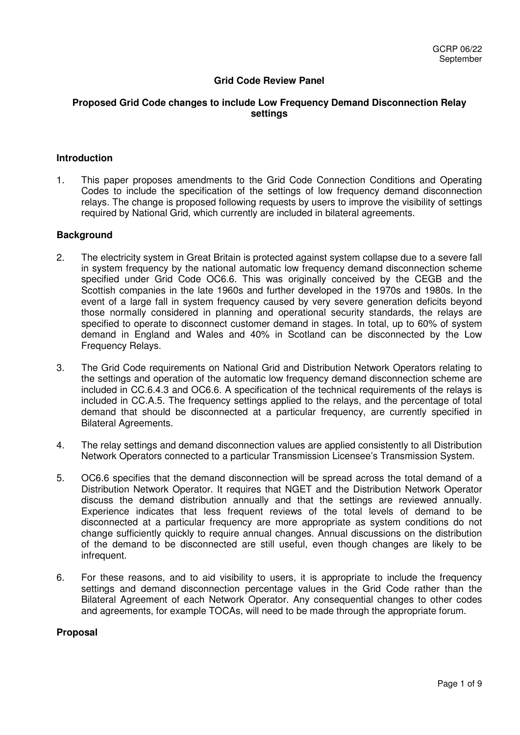# **Grid Code Review Panel**

## **Proposed Grid Code changes to include Low Frequency Demand Disconnection Relay settings**

### **Introduction**

1. This paper proposes amendments to the Grid Code Connection Conditions and Operating Codes to include the specification of the settings of low frequency demand disconnection relays. The change is proposed following requests by users to improve the visibility of settings required by National Grid, which currently are included in bilateral agreements.

#### **Background**

- 2. The electricity system in Great Britain is protected against system collapse due to a severe fall in system frequency by the national automatic low frequency demand disconnection scheme specified under Grid Code OC6.6. This was originally conceived by the CEGB and the Scottish companies in the late 1960s and further developed in the 1970s and 1980s. In the event of a large fall in system frequency caused by very severe generation deficits beyond those normally considered in planning and operational security standards, the relays are specified to operate to disconnect customer demand in stages. In total, up to 60% of system demand in England and Wales and 40% in Scotland can be disconnected by the Low Frequency Relays.
- 3. The Grid Code requirements on National Grid and Distribution Network Operators relating to the settings and operation of the automatic low frequency demand disconnection scheme are included in CC.6.4.3 and OC6.6. A specification of the technical requirements of the relays is included in CC.A.5. The frequency settings applied to the relays, and the percentage of total demand that should be disconnected at a particular frequency, are currently specified in Bilateral Agreements.
- 4. The relay settings and demand disconnection values are applied consistently to all Distribution Network Operators connected to a particular Transmission Licensee's Transmission System.
- 5. OC6.6 specifies that the demand disconnection will be spread across the total demand of a Distribution Network Operator. It requires that NGET and the Distribution Network Operator discuss the demand distribution annually and that the settings are reviewed annually. Experience indicates that less frequent reviews of the total levels of demand to be disconnected at a particular frequency are more appropriate as system conditions do not change sufficiently quickly to require annual changes. Annual discussions on the distribution of the demand to be disconnected are still useful, even though changes are likely to be infrequent.
- 6. For these reasons, and to aid visibility to users, it is appropriate to include the frequency settings and demand disconnection percentage values in the Grid Code rather than the Bilateral Agreement of each Network Operator. Any consequential changes to other codes and agreements, for example TOCAs, will need to be made through the appropriate forum.

#### **Proposal**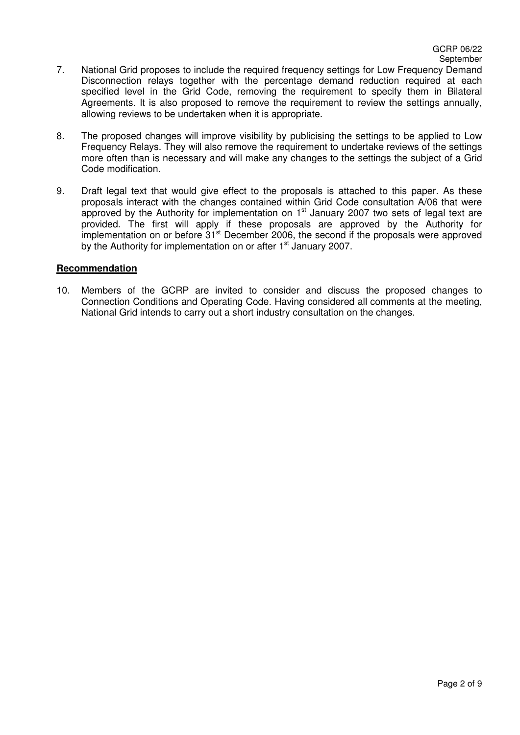- 7. National Grid proposes to include the required frequency settings for Low Frequency Demand Disconnection relays together with the percentage demand reduction required at each specified level in the Grid Code, removing the requirement to specify them in Bilateral Agreements. It is also proposed to remove the requirement to review the settings annually, allowing reviews to be undertaken when it is appropriate.
- 8. The proposed changes will improve visibility by publicising the settings to be applied to Low Frequency Relays. They will also remove the requirement to undertake reviews of the settings more often than is necessary and will make any changes to the settings the subject of a Grid Code modification.
- 9. Draft legal text that would give effect to the proposals is attached to this paper. As these proposals interact with the changes contained within Grid Code consultation A/06 that were approved by the Authority for implementation on  $1<sup>st</sup>$  January 2007 two sets of legal text are provided. The first will apply if these proposals are approved by the Authority for implementation on or before  $31<sup>st</sup>$  December 2006, the second if the proposals were approved by the Authority for implementation on or after  $1<sup>st</sup>$  January 2007.

### **Recommendation**

10. Members of the GCRP are invited to consider and discuss the proposed changes to Connection Conditions and Operating Code. Having considered all comments at the meeting, National Grid intends to carry out a short industry consultation on the changes.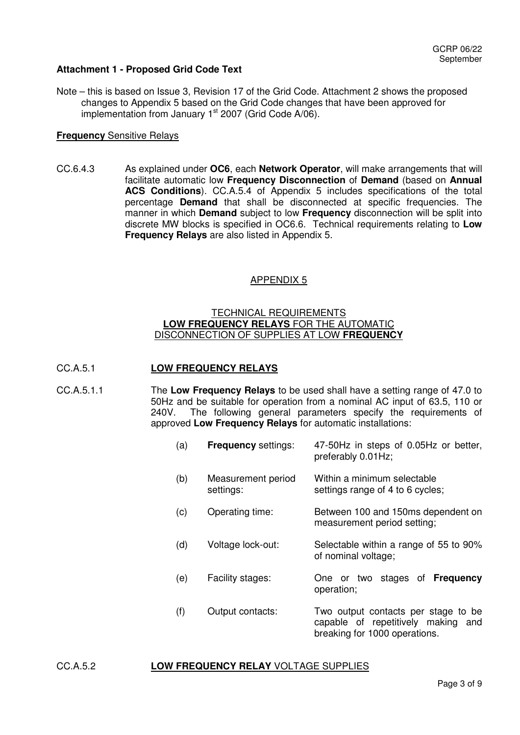# **Attachment 1 - Proposed Grid Code Text**

Note – this is based on Issue 3, Revision 17 of the Grid Code. Attachment 2 shows the proposed changes to Appendix 5 based on the Grid Code changes that have been approved for implementation from January  $1<sup>st</sup>$  2007 (Grid Code A/06).

### **Frequency** Sensitive Relays

CC.6.4.3 As explained under **OC6**, each **Network Operator**, will make arrangements that will facilitate automatic low **Frequency Disconnection** of **Demand** (based on **Annual ACS Conditions**). CC.A.5.4 of Appendix 5 includes specifications of the total percentage **Demand** that shall be disconnected at specific frequencies. The manner in which **Demand** subject to low **Frequency** disconnection will be split into discrete MW blocks is specified in OC6.6. Technical requirements relating to **Low Frequency Relays** are also listed in Appendix 5.

## APPENDIX 5

### TECHNICAL REQUIREMENTS **LOW FREQUENCY RELAYS** FOR THE AUTOMATIC DISCONNECTION OF SUPPLIES AT LOW **FREQUENCY**

### CC.A.5.1 **LOW FREQUENCY RELAYS**

CC.A.5.1.1 The **Low Frequency Relays** to be used shall have a setting range of 47.0 to 50Hz and be suitable for operation from a nominal AC input of 63.5, 110 or<br>240V. The following general parameters specify the reguirements of The following general parameters specify the requirements of approved **Low Frequency Relays** for automatic installations:

| (a) | <b>Frequency settings:</b>      | 47-50Hz in steps of 0.05Hz or better,<br>preferably 0.01Hz;                                                |
|-----|---------------------------------|------------------------------------------------------------------------------------------------------------|
| (b) | Measurement period<br>settings: | Within a minimum selectable<br>settings range of 4 to 6 cycles;                                            |
| (c) | Operating time:                 | Between 100 and 150ms dependent on<br>measurement period setting;                                          |
| (d) | Voltage lock-out:               | Selectable within a range of 55 to 90%<br>of nominal voltage;                                              |
| (e) | Facility stages:                | One or two stages of <b>Frequency</b><br>operation;                                                        |
| (f) | Output contacts:                | Two output contacts per stage to be<br>capable of repetitively making and<br>breaking for 1000 operations. |

## CC.A.5.2 **LOW FREQUENCY RELAY** VOLTAGE SUPPLIES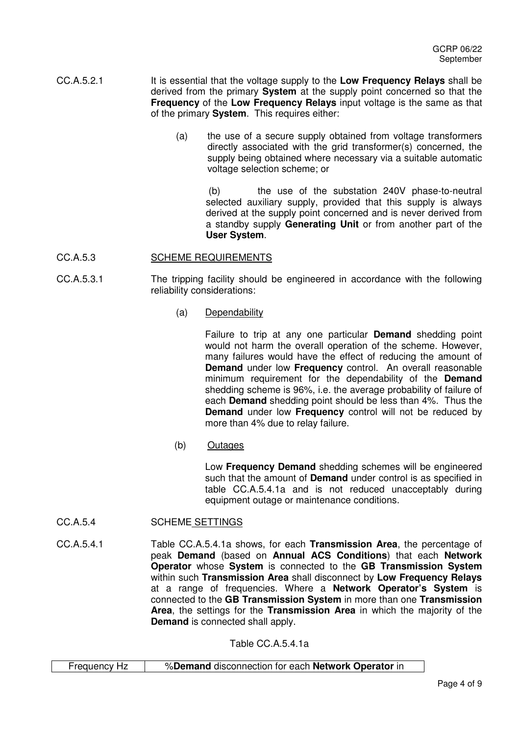- CC.A.5.2.1 It is essential that the voltage supply to the **Low Frequency Relays** shall be derived from the primary **System** at the supply point concerned so that the **Frequency** of the **Low Frequency Relays** input voltage is the same as that of the primary **System**. This requires either:
	- (a) the use of a secure supply obtained from voltage transformers directly associated with the grid transformer(s) concerned, the supply being obtained where necessary via a suitable automatic voltage selection scheme; or

 (b) the use of the substation 240V phase-to-neutral selected auxiliary supply, provided that this supply is always derived at the supply point concerned and is never derived from a standby supply **Generating Unit** or from another part of the **User System**.

### CC.A.5.3 SCHEME REQUIREMENTS

- CC.A.5.3.1 The tripping facility should be engineered in accordance with the following reliability considerations:
	- (a) Dependability

 Failure to trip at any one particular **Demand** shedding point would not harm the overall operation of the scheme. However, many failures would have the effect of reducing the amount of **Demand** under low **Frequency** control. An overall reasonable minimum requirement for the dependability of the **Demand** shedding scheme is 96%, i.e. the average probability of failure of each **Demand** shedding point should be less than 4%. Thus the **Demand** under low **Frequency** control will not be reduced by more than 4% due to relay failure.

(b) Outages

Low **Frequency Demand** shedding schemes will be engineered such that the amount of **Demand** under control is as specified in table CC.A.5.4.1a and is not reduced unacceptably during equipment outage or maintenance conditions.

- CC.A.5.4 SCHEME SETTINGS
- CC.A.5.4.1 Table CC.A.5.4.1a shows, for each **Transmission Area**, the percentage of peak **Demand** (based on **Annual ACS Conditions**) that each **Network Operator** whose **System** is connected to the **GB Transmission System** within such **Transmission Area** shall disconnect by **Low Frequency Relays** at a range of frequencies. Where a **Network Operator's System** is connected to the **GB Transmission System** in more than one **Transmission Area**, the settings for the **Transmission Area** in which the majority of the **Demand** is connected shall apply.

Table CC.A.5.4.1a

| Frequency Hz | %Demand disconnection for each Network Operator in |
|--------------|----------------------------------------------------|
|--------------|----------------------------------------------------|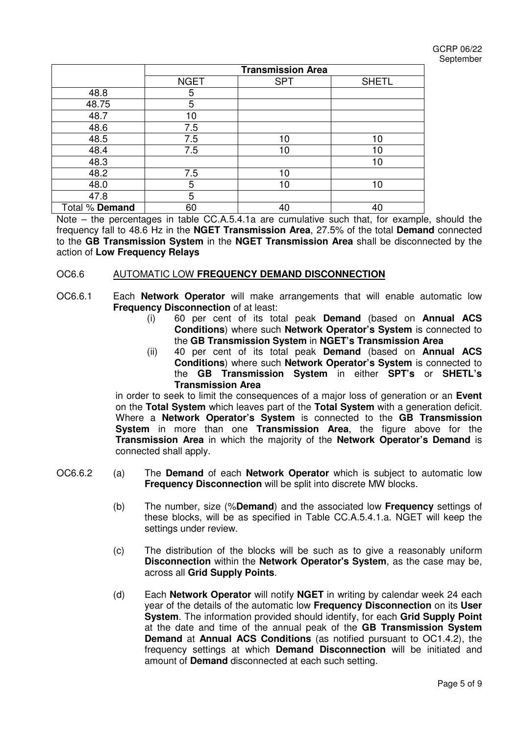GCRP 06/22 September

|                | <b>Transmission Area</b> |            |              |
|----------------|--------------------------|------------|--------------|
|                | <b>NGET</b>              | <b>SPT</b> | <b>SHETL</b> |
| 48.8           | 5                        |            |              |
| 48.75          | 5                        |            |              |
| 48.7           | 10                       |            |              |
| 48.6           | 7.5                      |            |              |
| 48.5           | 7.5                      | 10         | 10           |
| 48.4           | 7.5                      | 10         | 10           |
| 48.3           |                          |            | 10           |
| 48.2           | 7.5                      | 10         |              |
| 48.0           | 5                        | 10         | 10           |
| 47.8           | 5                        |            |              |
| Total % Demand | 60                       | 40         | 40           |

Note – the percentages in table CC.A.5.4.1a are cumulative such that, for example, should the frequency fall to 48.6 Hz in the **NGET Transmission Area**, 27.5% of the total **Demand** connected to the **GB Transmission System** in the **NGET Transmission Area** shall be disconnected by the action of **Low Frequency Relays**

### OC6.6 AUTOMATIC LOW **FREQUENCY DEMAND DISCONNECTION**

- OC6.6.1 Each **Network Operator** will make arrangements that will enable automatic low **Frequency Disconnection** of at least:
	- (i) 60 per cent of its total peak **Demand** (based on **Annual ACS Conditions**) where such **Network Operator's System** is connected to the **GB Transmission System** in **NGET's Transmission Area**
	- (ii) 40 per cent of its total peak **Demand** (based on **Annual ACS Conditions**) where such **Network Operator's System** is connected to the **GB Transmission System** in either **SPT's** or **SHETL's Transmission Area**

in order to seek to limit the consequences of a major loss of generation or an **Event** on the **Total System** which leaves part of the **Total System** with a generation deficit. Where a **Network Operator's System** is connected to the **GB Transmission System** in more than one **Transmission Area**, the figure above for the **Transmission Area** in which the majority of the **Network Operator's Demand** is connected shall apply.

- OC6.6.2 (a) The **Demand** of each **Network Operator** which is subject to automatic low **Frequency Disconnection** will be split into discrete MW blocks.
	- (b) The number, size (%**Demand**) and the associated low **Frequency** settings of these blocks, will be as specified in Table CC.A.5.4.1.a. NGET will keep the settings under review.
	- (c) The distribution of the blocks will be such as to give a reasonably uniform **Disconnection** within the **Network Operator's System**, as the case may be, across all **Grid Supply Points**.
	- (d) Each **Network Operator** will notify **NGET** in writing by calendar week 24 each year of the details of the automatic low **Frequency Disconnection** on its **User System**. The information provided should identify, for each **Grid Supply Point** at the date and time of the annual peak of the **GB Transmission System Demand** at **Annual ACS Conditions** (as notified pursuant to OC1.4.2), the frequency settings at which **Demand Disconnection** will be initiated and amount of **Demand** disconnected at each such setting.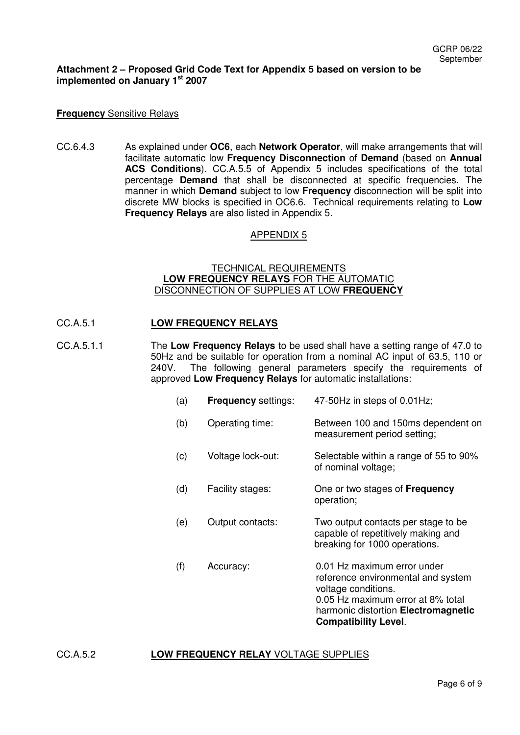### **Attachment 2 – Proposed Grid Code Text for Appendix 5 based on version to be implemented on January 1st 2007**

#### **Frequency** Sensitive Relays

CC.6.4.3 As explained under **OC6**, each **Network Operator**, will make arrangements that will facilitate automatic low **Frequency Disconnection** of **Demand** (based on **Annual ACS Conditions**). CC.A.5.5 of Appendix 5 includes specifications of the total percentage **Demand** that shall be disconnected at specific frequencies. The manner in which **Demand** subject to low **Frequency** disconnection will be split into discrete MW blocks is specified in OC6.6. Technical requirements relating to **Low Frequency Relays** are also listed in Appendix 5.

#### APPENDIX 5

### TECHNICAL REQUIREMENTS **LOW FREQUENCY RELAYS** FOR THE AUTOMATIC DISCONNECTION OF SUPPLIES AT LOW **FREQUENCY**

#### CC.A.5.1 **LOW FREQUENCY RELAYS**

- CC.A.5.1.1 The **Low Frequency Relays** to be used shall have a setting range of 47.0 to 50Hz and be suitable for operation from a nominal AC input of 63.5, 110 or 240V. The following general parameters specify the requirements of approved **Low Frequency Relays** for automatic installations:
	- (a) **Frequency** settings: 47-50Hz in steps of 0.01Hz;
	- (b) Operating time: Between 100 and 150ms dependent on measurement period setting;
	- (c) Voltage lock-out: Selectable within a range of 55 to 90% of nominal voltage;
	- (d) Facility stages: One or two stages of **Frequency** operation;
	- (e) Output contacts: Two output contacts per stage to be capable of repetitively making and breaking for 1000 operations.
	- (f) Accuracy: 0.01 Hz maximum error under reference environmental and system voltage conditions. 0.05 Hz maximum error at 8% total harmonic distortion **Electromagnetic Compatibility Level**.

### CC.A.5.2 **LOW FREQUENCY RELAY** VOLTAGE SUPPLIES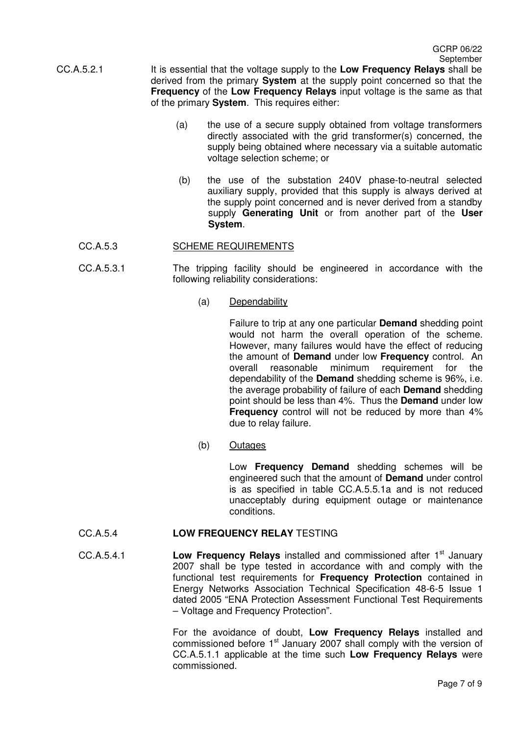- CC.A.5.2.1 It is essential that the voltage supply to the **Low Frequency Relays** shall be derived from the primary **System** at the supply point concerned so that the **Frequency** of the **Low Frequency Relays** input voltage is the same as that of the primary **System**. This requires either:
	- (a) the use of a secure supply obtained from voltage transformers directly associated with the grid transformer(s) concerned, the supply being obtained where necessary via a suitable automatic voltage selection scheme; or
	- (b) the use of the substation 240V phase-to-neutral selected auxiliary supply, provided that this supply is always derived at the supply point concerned and is never derived from a standby supply **Generating Unit** or from another part of the **User System**.

## CC.A.5.3 SCHEME REQUIREMENTS

- CC.A.5.3.1 The tripping facility should be engineered in accordance with the following reliability considerations:
	- (a) Dependability

Failure to trip at any one particular **Demand** shedding point would not harm the overall operation of the scheme. However, many failures would have the effect of reducing the amount of **Demand** under low **Frequency** control. An overall reasonable minimum requirement for the dependability of the **Demand** shedding scheme is 96%, i.e. the average probability of failure of each **Demand** shedding point should be less than 4%. Thus the **Demand** under low **Frequency** control will not be reduced by more than 4% due to relay failure.

(b) Outages

Low **Frequency Demand** shedding schemes will be engineered such that the amount of **Demand** under control is as specified in table CC.A.5.5.1a and is not reduced unacceptably during equipment outage or maintenance conditions.

## CC.A.5.4 **LOW FREQUENCY RELAY** TESTING

CC.A.5.4.1 **Low Frequency Relays** installed and commissioned after 1<sup>st</sup> January 2007 shall be type tested in accordance with and comply with the functional test requirements for **Frequency Protection** contained in Energy Networks Association Technical Specification 48-6-5 Issue 1 dated 2005 "ENA Protection Assessment Functional Test Requirements – Voltage and Frequency Protection".

> For the avoidance of doubt, **Low Frequency Relays** installed and commissioned before  $1<sup>st</sup>$  January 2007 shall comply with the version of CC.A.5.1.1 applicable at the time such **Low Frequency Relays** were commissioned.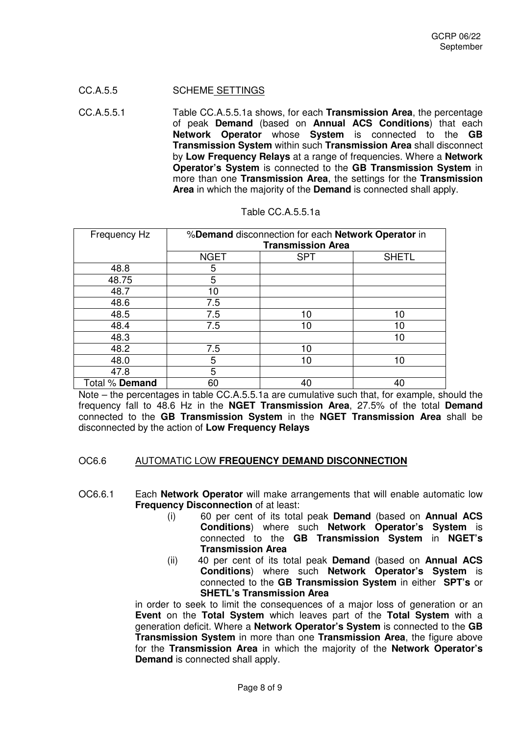### CC.A.5.5 SCHEME SETTINGS

CC.A.5.5.1 Table CC.A.5.5.1a shows, for each **Transmission Area**, the percentage of peak **Demand** (based on **Annual ACS Conditions**) that each **Network Operator** whose **System** is connected to the **GB Transmission System** within such **Transmission Area** shall disconnect by **Low Frequency Relays** at a range of frequencies. Where a **Network Operator's System** is connected to the **GB Transmission System** in more than one **Transmission Area**, the settings for the **Transmission Area** in which the majority of the **Demand** is connected shall apply.

| Frequency Hz   | %Demand disconnection for each Network Operator in<br><b>Transmission Area</b> |            |              |  |
|----------------|--------------------------------------------------------------------------------|------------|--------------|--|
|                | <b>NGET</b>                                                                    | <b>SPT</b> | <b>SHETL</b> |  |
| 48.8           | 5                                                                              |            |              |  |
| 48.75          | 5                                                                              |            |              |  |
| 48.7           | 10                                                                             |            |              |  |
| 48.6           | 7.5                                                                            |            |              |  |
| 48.5           | 7.5                                                                            | 10         | 10           |  |
| 48.4           | 7.5                                                                            | 10         | 10           |  |
| 48.3           |                                                                                |            | 10           |  |
| 48.2           | 7.5                                                                            | 10         |              |  |
| 48.0           | 5                                                                              | 10         | 10           |  |
| 47.8           | 5                                                                              |            |              |  |
| Total % Demand | 60                                                                             | 40         | 40           |  |

|  | Table CC.A.5.5.1a |  |  |  |
|--|-------------------|--|--|--|
|--|-------------------|--|--|--|

Note – the percentages in table CC.A.5.5.1a are cumulative such that, for example, should the frequency fall to 48.6 Hz in the **NGET Transmission Area**, 27.5% of the total **Demand** connected to the **GB Transmission System** in the **NGET Transmission Area** shall be disconnected by the action of **Low Frequency Relays**

#### OC6.6 AUTOMATIC LOW **FREQUENCY DEMAND DISCONNECTION**

- OC6.6.1 Each **Network Operator** will make arrangements that will enable automatic low **Frequency Disconnection** of at least:
	- (i) 60 per cent of its total peak **Demand** (based on **Annual ACS Conditions**) where such **Network Operator's System** is connected to the **GB Transmission System** in **NGET's Transmission Area**
	- (ii) 40 per cent of its total peak **Demand** (based on **Annual ACS Conditions**) where such **Network Operator's System** is connected to the **GB Transmission System** in either **SPT's** or **SHETL's Transmission Area**

 in order to seek to limit the consequences of a major loss of generation or an **Event** on the **Total System** which leaves part of the **Total System** with a generation deficit. Where a **Network Operator's System** is connected to the **GB Transmission System** in more than one **Transmission Area**, the figure above for the **Transmission Area** in which the majority of the **Network Operator's Demand** is connected shall apply.